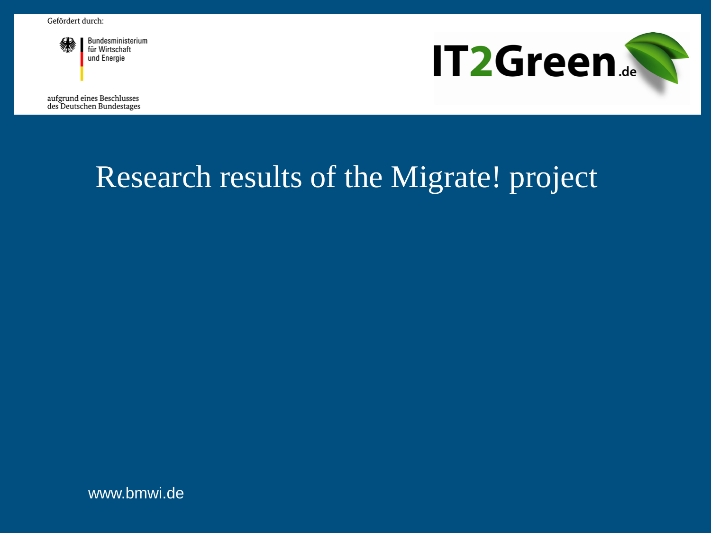

Bundesministerium für Wirtschaft und Energie

**IT2Green.** 

aufgrund eines Beschlusses des Deutschen Bundestages

# Research results of the Migrate! project

www.bmwi.de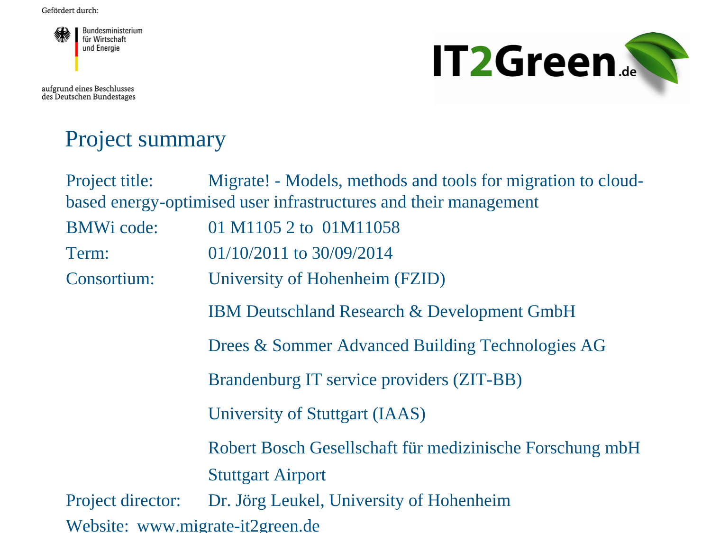

aufgrund eines Beschlusses<br>des Deutschen Bundestages



#### Project summary

| Project title:                                                   | Migrate! - Models, methods and tools for migration to cloud- |
|------------------------------------------------------------------|--------------------------------------------------------------|
| based energy-optimised user infrastructures and their management |                                                              |
| <b>BMWi</b> code:                                                | 01 M1105 2 to 01M11058                                       |
| Term:                                                            | $01/10/2011$ to 30/09/2014                                   |
| Consortium:                                                      | University of Hohenheim (FZID)                               |
|                                                                  | <b>IBM Deutschland Research &amp; Development GmbH</b>       |
|                                                                  | Drees & Sommer Advanced Building Technologies AG             |
|                                                                  | Brandenburg IT service providers (ZIT-BB)                    |
|                                                                  | University of Stuttgart (IAAS)                               |
|                                                                  | Robert Bosch Gesellschaft für medizinische Forschung mbH     |
|                                                                  | <b>Stuttgart Airport</b>                                     |
| Project director:                                                | Dr. Jörg Leukel, University of Hohenheim                     |
| Website: www.migrate-it2green.de                                 |                                                              |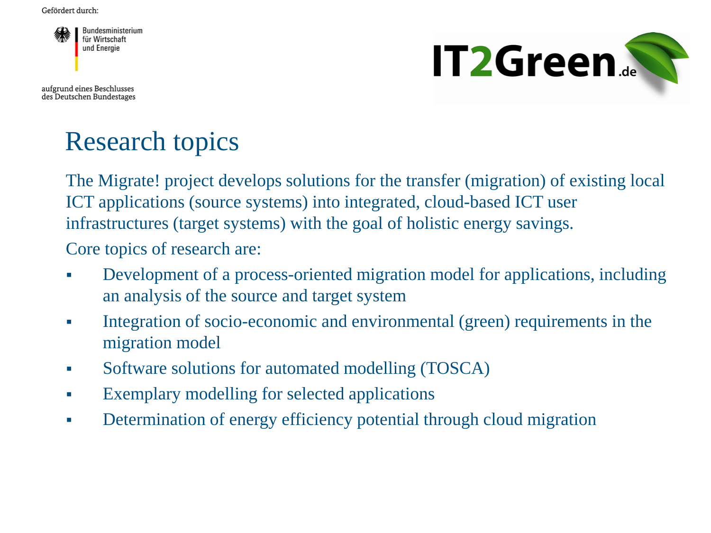

aufgrund eines Beschlusses des Deutschen Bundestages



# Research topics

The Migrate! project develops solutions for the transfer (migration) of existing local ICT applications (source systems) into integrated, cloud-based ICT user infrastructures (target systems) with the goal of holistic energy savings.

Core topics of research are:

- Development of a process-oriented migration model for applications, including an analysis of the source and target system
- Integration of socio-economic and environmental (green) requirements in the migration model
- Software solutions for automated modelling (TOSCA)
- Exemplary modelling for selected applications
- Determination of energy efficiency potential through cloud migration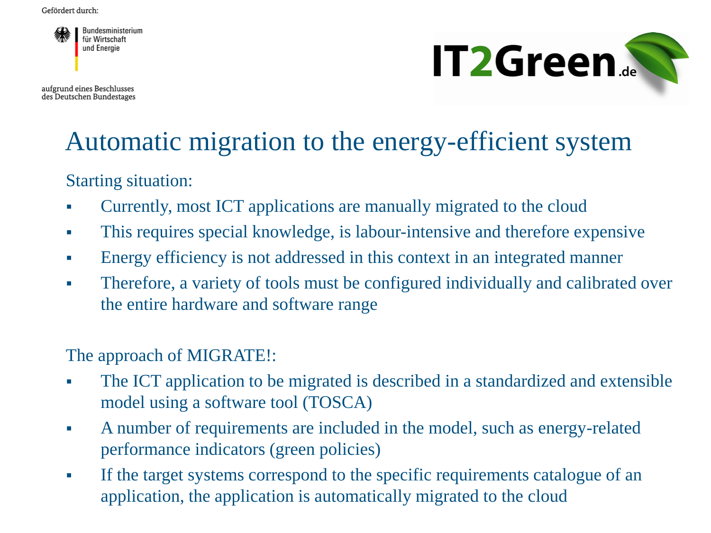

aufgrund eines Beschlusses des Deutschen Bundestages



#### Automatic migration to the energy-efficient system

Starting situation:

- Currently, most ICT applications are manually migrated to the cloud
- This requires special knowledge, is labour-intensive and therefore expensive
- Energy efficiency is not addressed in this context in an integrated manner
- Therefore, a variety of tools must be configured individually and calibrated over the entire hardware and software range

The approach of MIGRATE!:

- The ICT application to be migrated is described in a standardized and extensible model using a software tool (TOSCA)
- A number of requirements are included in the model, such as energy-related performance indicators (green policies)
- If the target systems correspond to the specific requirements catalogue of an application, the application is automatically migrated to the cloud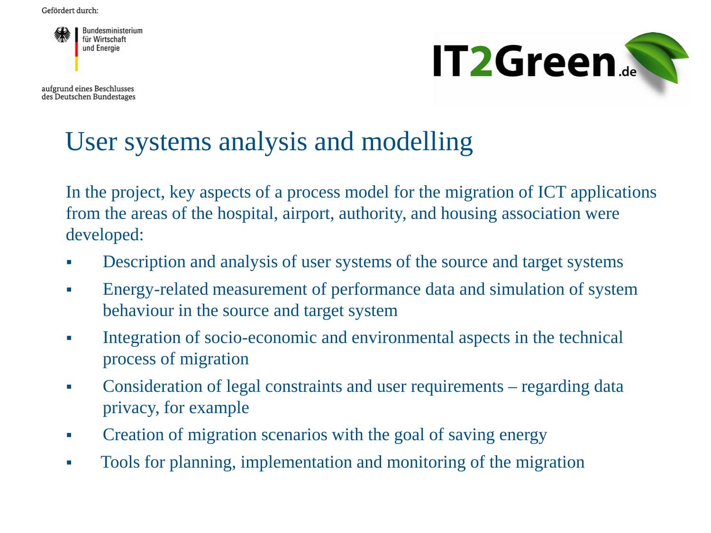

aufgrund eines Beschlusses des Deutschen Bundestages



# User systems analysis and modelling

In the project, key aspects of a process model for the migration of ICT applications from the areas of the hospital, airport, authority, and housing association were developed:

- Description and analysis of user systems of the source and target systems
- Energy-related measurement of performance data and simulation of system behaviour in the source and target system
- Integration of socio-economic and environmental aspects in the technical process of migration
- Consideration of legal constraints and user requirements regarding data privacy, for example
- Creation of migration scenarios with the goal of saving energy
- Tools for planning, implementation and monitoring of the migration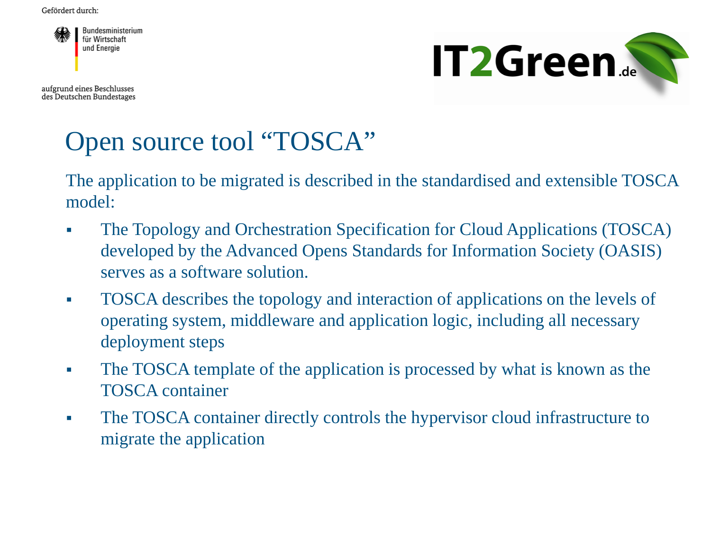

aufgrund eines Beschlusses des Deutschen Bundestages



# Open source tool "TOSCA"

The application to be migrated is described in the standardised and extensible TOSCA model:

- The Topology and Orchestration Specification for Cloud Applications (TOSCA) developed by the Advanced Opens Standards for Information Society (OASIS) serves as a software solution.
- TOSCA describes the topology and interaction of applications on the levels of operating system, middleware and application logic, including all necessary deployment steps
- The TOSCA template of the application is processed by what is known as the TOSCA container
- The TOSCA container directly controls the hypervisor cloud infrastructure to migrate the application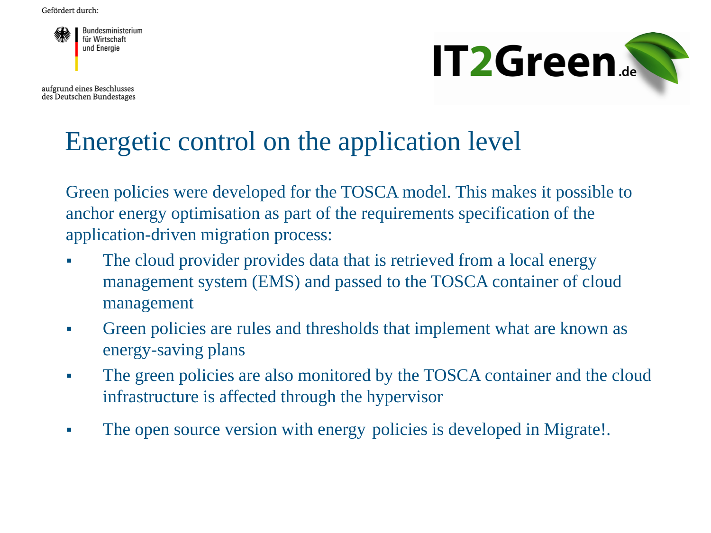

aufgrund eines Beschlusses des Deutschen Bundestages



# Energetic control on the application level

Green policies were developed for the TOSCA model. This makes it possible to anchor energy optimisation as part of the requirements specification of the application-driven migration process:

- The cloud provider provides data that is retrieved from a local energy management system (EMS) and passed to the TOSCA container of cloud management
- Green policies are rules and thresholds that implement what are known as energy-saving plans
- The green policies are also monitored by the TOSCA container and the cloud infrastructure is affected through the hypervisor
- The open source version with energy policies is developed in Migrate!.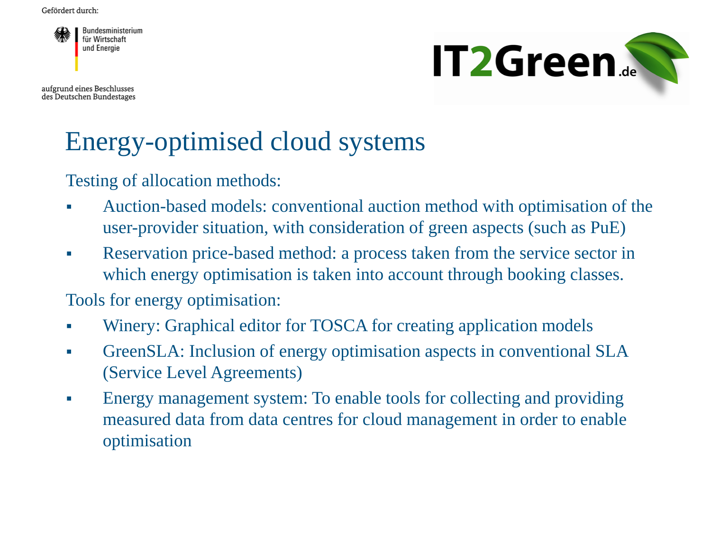

aufgrund eines Beschlusses des Deutschen Bundestages



# Energy-optimised cloud systems

Testing of allocation methods:

- Auction-based models: conventional auction method with optimisation of the user-provider situation, with consideration of green aspects (such as PuE)
- Reservation price-based method: a process taken from the service sector in which energy optimisation is taken into account through booking classes.

Tools for energy optimisation:

- Winery: Graphical editor for TOSCA for creating application models
- GreenSLA: Inclusion of energy optimisation aspects in conventional SLA (Service Level Agreements)
- Energy management system: To enable tools for collecting and providing measured data from data centres for cloud management in order to enable optimisation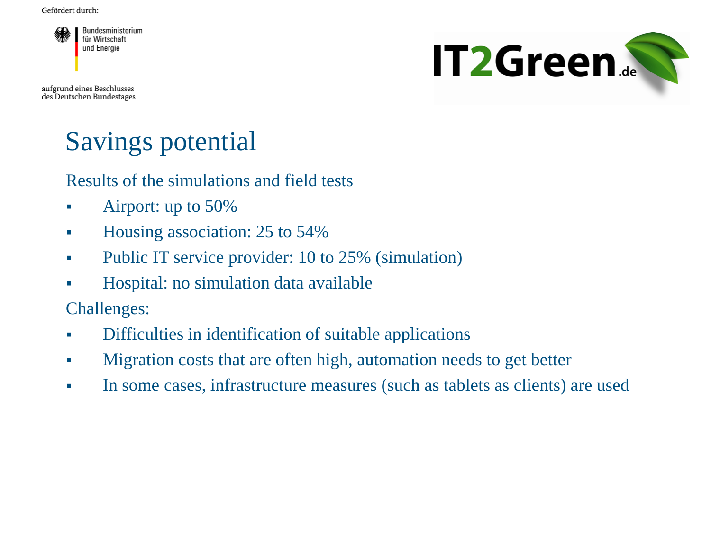

aufgrund eines Beschlusses des Deutschen Bundestages



# Savings potential

Results of the simulations and field tests

- Airport: up to 50%
- Housing association: 25 to 54%
- Public IT service provider: 10 to 25% (simulation)
- Hospital: no simulation data available

Challenges:

- Difficulties in identification of suitable applications
- **Migration costs that are often high, automation needs to get better**
- In some cases, infrastructure measures (such as tablets as clients) are used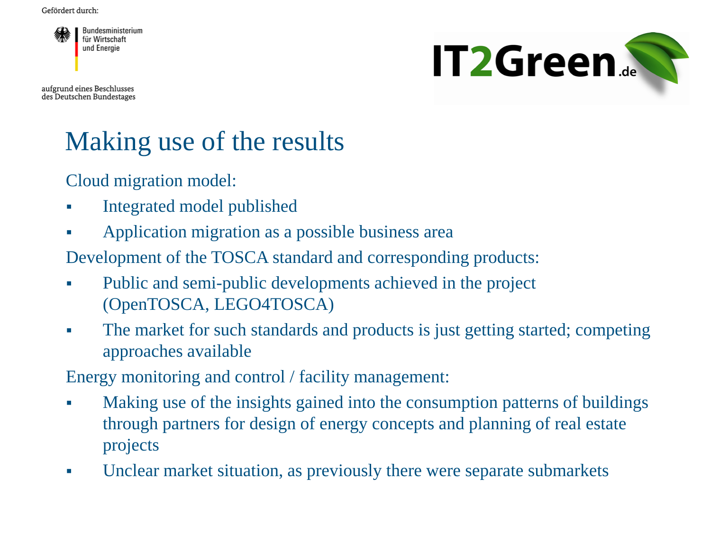

aufgrund eines Beschlusses des Deutschen Bundestages



# Making use of the results

Cloud migration model:

- Integrated model published
- Application migration as a possible business area

Development of the TOSCA standard and corresponding products:

- Public and semi-public developments achieved in the project (OpenTOSCA, LEGO4TOSCA)
- The market for such standards and products is just getting started; competing approaches available

Energy monitoring and control / facility management:

- Making use of the insights gained into the consumption patterns of buildings through partners for design of energy concepts and planning of real estate projects
- Unclear market situation, as previously there were separate submarkets